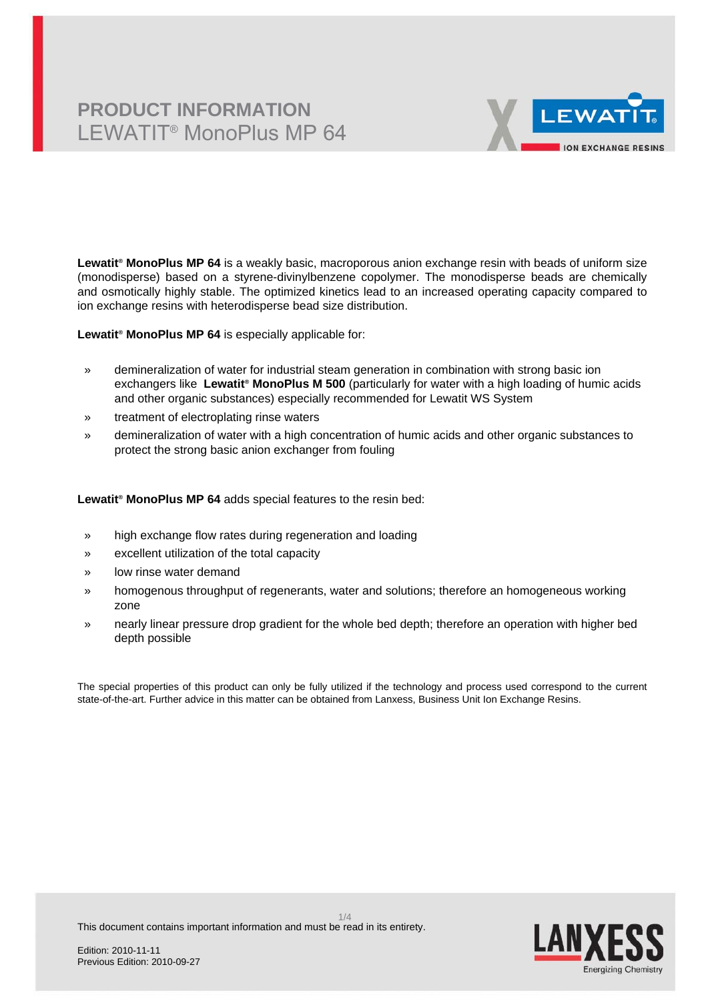# **PRODUCT INFORMATION** LEWATIT® MonoPlus MP 64



**Lewatit® MonoPlus MP 64** is a weakly basic, macroporous anion exchange resin with beads of uniform size (monodisperse) based on a styrene-divinylbenzene copolymer. The monodisperse beads are chemically and osmotically highly stable. The optimized kinetics lead to an increased operating capacity compared to ion exchange resins with heterodisperse bead size distribution.

**Lewatit® MonoPlus MP 64** is especially applicable for:

- » demineralization of water for industrial steam generation in combination with strong basic ion exchangers like **Lewatit® MonoPlus M 500** (particularly for water with a high loading of humic acids and other organic substances) especially recommended for Lewatit WS System
- » treatment of electroplating rinse waters
- » demineralization of water with a high concentration of humic acids and other organic substances to protect the strong basic anion exchanger from fouling

**Lewatit® MonoPlus MP 64** adds special features to the resin bed:

- » high exchange flow rates during regeneration and loading
- » excellent utilization of the total capacity
- » low rinse water demand
- » homogenous throughput of regenerants, water and solutions; therefore an homogeneous working zone
- » nearly linear pressure drop gradient for the whole bed depth; therefore an operation with higher bed depth possible

The special properties of this product can only be fully utilized if the technology and process used correspond to the current state-of-the-art. Further advice in this matter can be obtained from Lanxess, Business Unit Ion Exchange Resins.

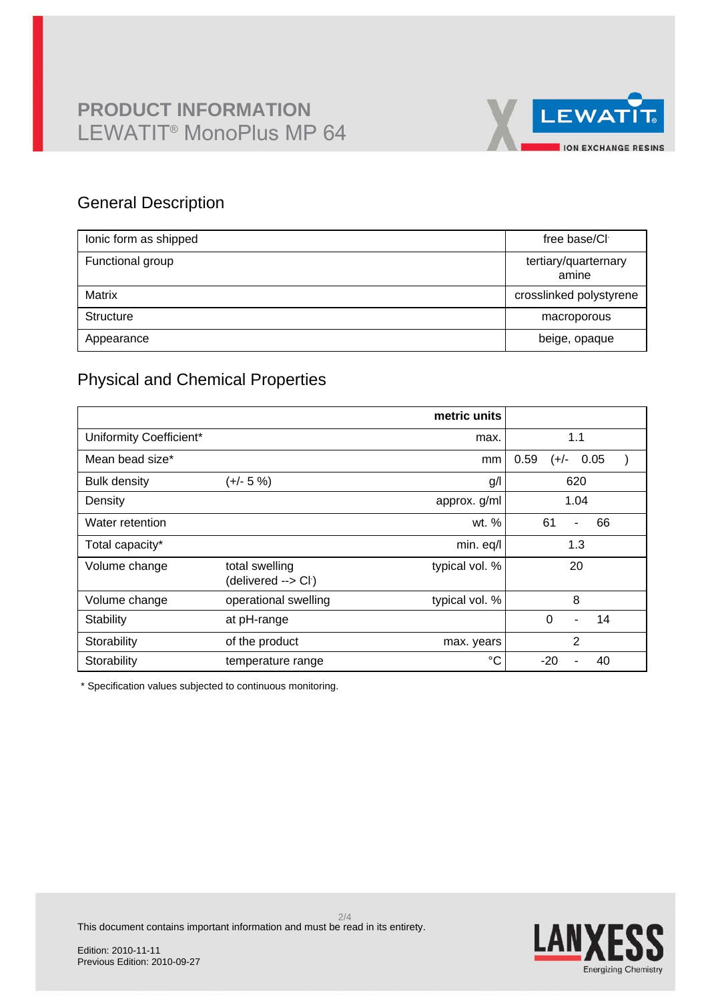

## General Description

| lonic form as shipped | free base/CI                  |
|-----------------------|-------------------------------|
| Functional group      | tertiary/quarternary<br>amine |
| Matrix                | crosslinked polystyrene       |
| Structure             | macroporous                   |
| Appearance            | beige, opaque                 |

## Physical and Chemical Properties

|                         |                                                    | metric units   |                                            |
|-------------------------|----------------------------------------------------|----------------|--------------------------------------------|
| Uniformity Coefficient* |                                                    | max.           | 1.1                                        |
| Mean bead size*         |                                                    | mm             | 0.59<br>0.05<br>$(+/-)$                    |
| <b>Bulk density</b>     | $(+/- 5%)$                                         | g/l            | 620                                        |
| Density                 |                                                    | approx. g/ml   | 1.04                                       |
| Water retention         |                                                    | wt. %          | 61<br>66<br>$\overline{\phantom{0}}$       |
| Total capacity*         |                                                    | min. eq/l      | 1.3                                        |
| Volume change           | total swelling<br>(delivered --> Cl <sup>-</sup> ) | typical vol. % | 20                                         |
| Volume change           | operational swelling                               | typical vol. % | 8                                          |
| Stability               | at pH-range                                        |                | $\Omega$<br>14<br>$\overline{\phantom{a}}$ |
| Storability             | of the product                                     | max. years     | $\overline{2}$                             |
| Storability             | temperature range                                  | °C             | $-20$<br>40                                |

\* Specification values subjected to continuous monitoring.

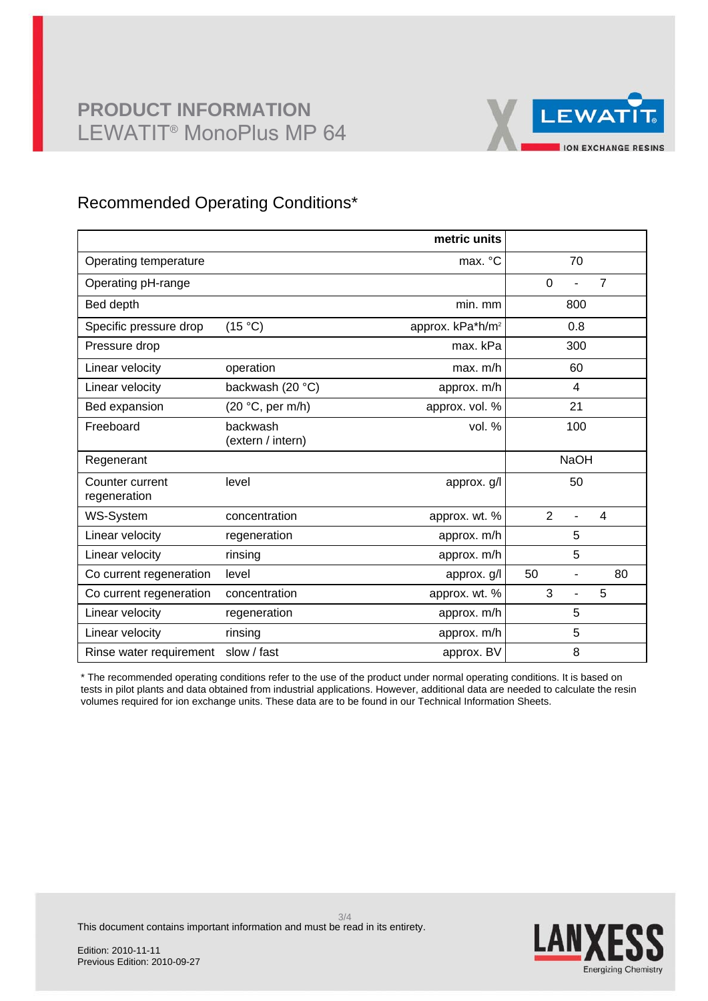

## Recommended Operating Conditions\*

|                                 |                               | metric units                 |                                  |
|---------------------------------|-------------------------------|------------------------------|----------------------------------|
| Operating temperature           |                               | max. °C                      | 70                               |
| Operating pH-range              |                               |                              | $\overline{7}$<br>$\mathbf 0$    |
| Bed depth                       |                               | min. mm                      | 800                              |
| Specific pressure drop          | (15 °C)                       | approx. kPa*h/m <sup>2</sup> | 0.8                              |
| Pressure drop                   |                               | max. kPa                     | 300                              |
| Linear velocity                 | operation                     | max. m/h                     | 60                               |
| Linear velocity                 | backwash (20 °C)              | approx. m/h                  | 4                                |
| Bed expansion                   | (20 °C, per m/h)              | approx. vol. %               | 21                               |
| Freeboard                       | backwash<br>(extern / intern) | vol. %                       | 100                              |
| Regenerant                      |                               |                              | <b>NaOH</b>                      |
| Counter current<br>regeneration | level                         | approx. g/l                  | 50                               |
| WS-System                       | concentration                 | approx. wt. %                | $\overline{2}$<br>$\overline{4}$ |
| Linear velocity                 | regeneration                  | approx. m/h                  | 5                                |
| Linear velocity                 | rinsing                       | approx. m/h                  | 5                                |
| Co current regeneration         | level                         | approx. g/l                  | 50<br>80<br>-                    |
| Co current regeneration         | concentration                 | approx. wt. %                | 3<br>5                           |
| Linear velocity                 | regeneration                  | approx. m/h                  | 5                                |
| Linear velocity                 | rinsing                       | approx. m/h                  | 5                                |
| Rinse water requirement         | slow / fast                   | approx. BV                   | 8                                |

\* The recommended operating conditions refer to the use of the product under normal operating conditions. It is based on tests in pilot plants and data obtained from industrial applications. However, additional data are needed to calculate the resin volumes required for ion exchange units. These data are to be found in our Technical Information Sheets.